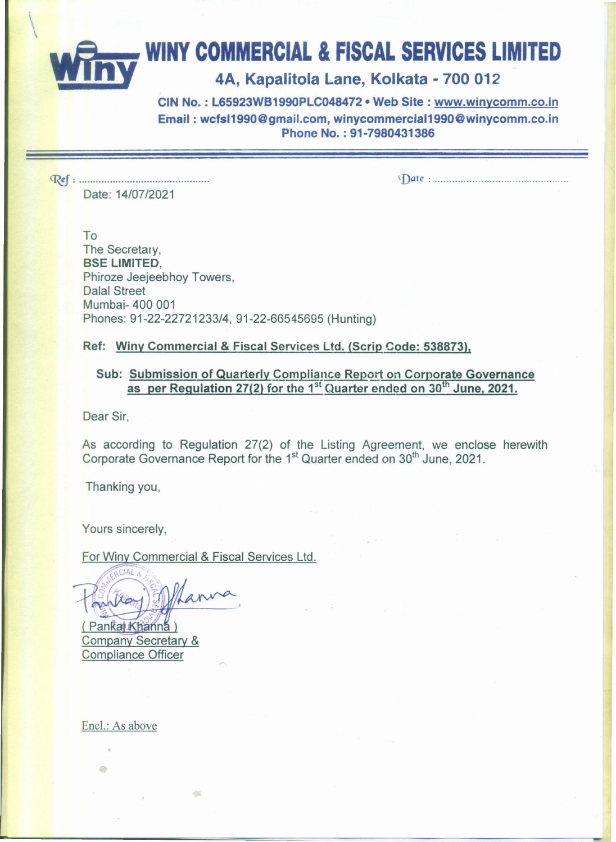# **- WINY COMMERCIAL & FISCAL SERVICES LIMITED**

## **\_\_ n.y** 4A, Kapalitola Lane, Kolkata - <sup>700</sup> <sup>012</sup>

CIN No. : L65923WB1990PLC048472· Web Site: www.winycomm.co.in Email: wcfsI1990@gmail.com.winycommerciaI1990@winycomm.co.in Phone No. : 91-7980431386

~: . Date: *14/07/2021*

*~Dal(': .*

To The Secretary, **BSE LIMITED.** Phiroze Jeejeebhoy Towers, Dalal Street Mumbai- 400 001 Phones: *91-22-22721233/4,* 91-22-66545695 (Hunting)

#### Ref: Winy Commercial & Fiscal Services Ltd. (Scrip Code: 538873),

#### Sub: Submission of Quarterly Compliance Report on Corporate Governance as per Regulation 27(2) for the 1<sup>st</sup> Quarter ended on  $30<sup>th</sup>$  June, 2021.

Dear Sir,

As according to Regulation 27(2) of the Listing Agreement, we enclose herewith Corporate Governance Report for the 1<sup>st</sup> Quarter ended on 30<sup>th</sup> June, 2021.

Thanking you,

Yours sincerely,

For Winy Commercial & Fiscal Services Ltd.

és.

(Pankaj Khanna) **Company Secretary & Compliance Officer** 

Enel.: As above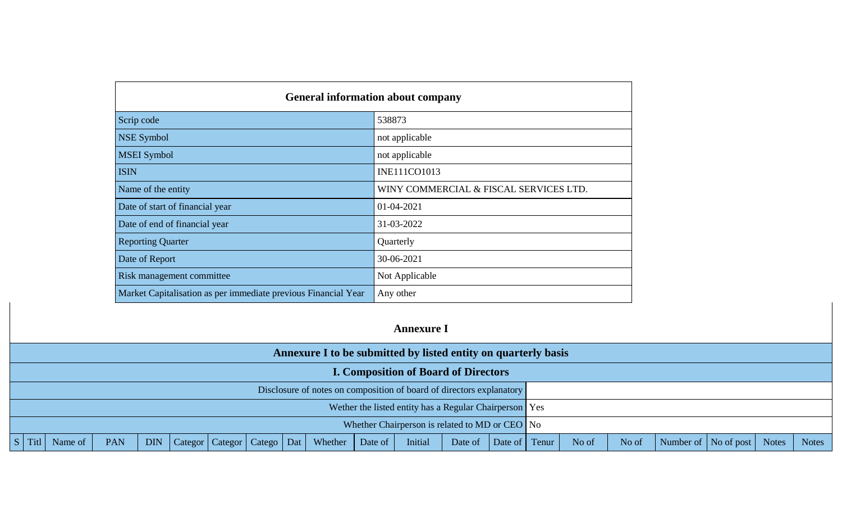| <b>General information about company</b>                       |                                        |  |  |  |  |  |
|----------------------------------------------------------------|----------------------------------------|--|--|--|--|--|
| Scrip code                                                     | 538873                                 |  |  |  |  |  |
| <b>NSE Symbol</b>                                              | not applicable                         |  |  |  |  |  |
| <b>MSEI</b> Symbol                                             | not applicable                         |  |  |  |  |  |
| <b>ISIN</b>                                                    | <b>INE111CO1013</b>                    |  |  |  |  |  |
| Name of the entity                                             | WINY COMMERCIAL & FISCAL SERVICES LTD. |  |  |  |  |  |
| Date of start of financial year                                | $01 - 04 - 2021$                       |  |  |  |  |  |
| Date of end of financial year                                  | 31-03-2022                             |  |  |  |  |  |
| <b>Reporting Quarter</b>                                       | Quarterly                              |  |  |  |  |  |
| Date of Report                                                 | 30-06-2021                             |  |  |  |  |  |
| Risk management committee                                      | Not Applicable                         |  |  |  |  |  |
| Market Capitalisation as per immediate previous Financial Year | Any other                              |  |  |  |  |  |

## **Annexure I**

| Annexure I to be submitted by listed entity on quarterly basis |                     |     |            |  |  |  |  |                                                                      |  |                                                          |         |               |       |       |                        |              |       |
|----------------------------------------------------------------|---------------------|-----|------------|--|--|--|--|----------------------------------------------------------------------|--|----------------------------------------------------------|---------|---------------|-------|-------|------------------------|--------------|-------|
| <b>I. Composition of Board of Directors</b>                    |                     |     |            |  |  |  |  |                                                                      |  |                                                          |         |               |       |       |                        |              |       |
|                                                                |                     |     |            |  |  |  |  | Disclosure of notes on composition of board of directors explanatory |  |                                                          |         |               |       |       |                        |              |       |
|                                                                |                     |     |            |  |  |  |  |                                                                      |  | Wether the listed entity has a Regular Chairperson   Yes |         |               |       |       |                        |              |       |
| Whether Chairperson is related to MD or CEO No                 |                     |     |            |  |  |  |  |                                                                      |  |                                                          |         |               |       |       |                        |              |       |
|                                                                | Name of $\parallel$ | PAN | <b>DIN</b> |  |  |  |  | Categor   Categor   Catego   Dat   Whether   Date of                 |  | Initial                                                  | Date of | Date of Tenur | No of | No of | Number of   No of post | <b>Notes</b> | Notes |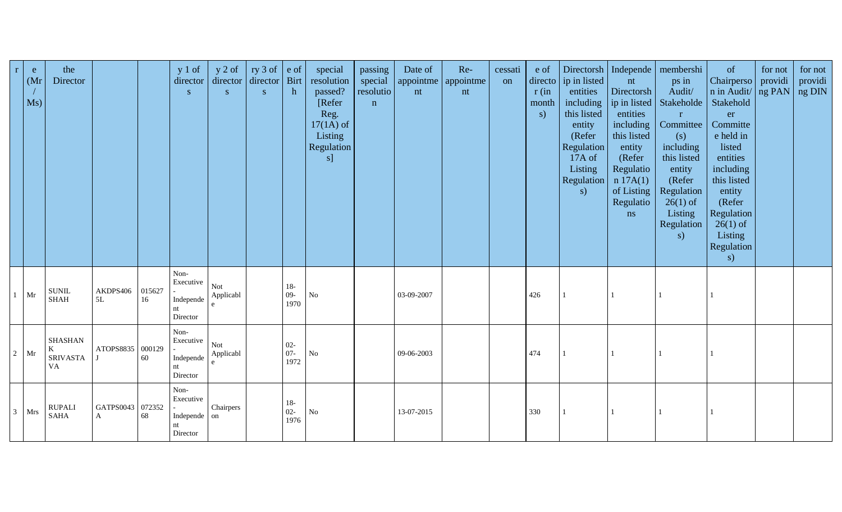| $r_{\rm}$    | e<br>(Mr)<br>Ms) | the<br>Director                              |                                  |              | $y 1$ of<br>director<br>${\bf S}$                   | $y$ 2 of<br>director<br>$\mathbf S^-$ | ry 3 of $ e$ of<br>director Birt<br>S | h                        | special<br>resolution<br>passed?<br>[Refer]<br>Reg.<br>$17(1A)$ of<br>Listing<br>Regulation<br>s] | passing<br>special<br>resolutio<br>$\mathbf n$ | Date of<br>nt | Re-<br>appointme   appointme  <br>nt | cessati<br>on | e of<br>directo<br>r(in<br>month<br>$\mathbf{s}$ | ip in listed<br>entities<br>including<br>this listed<br>entity<br>(Refer<br><b>Regulation</b><br>17A of<br>Listing<br>Regulation<br>s) | nt<br>Directorsh<br>ip in listed<br>entities<br>including<br>this listed<br>entity<br>(Refer<br>Regulatio<br>n 17A(1)<br>of Listing<br>Regulatio<br>ns | Directorsh   Independe   membershi<br>ps in<br>Audit/<br>Stakeholde<br>$\mathbf{r}$<br>Committee<br>(s)<br>including<br>this listed<br>entity<br>(Refer<br>Regulation<br>$26(1)$ of<br>Listing<br>Regulation<br>s) | of<br>Chairperso<br>n in Audit/ ng PAN<br>Stakehold<br>er<br>Committe<br>e held in<br>listed<br>entities<br>including<br>this listed<br>entity<br>(Refer<br>Regulation<br>$26(1)$ of<br>Listing<br>Regulation<br>s) | for not<br>providi | for not<br>providi<br>ng DIN |
|--------------|------------------|----------------------------------------------|----------------------------------|--------------|-----------------------------------------------------|---------------------------------------|---------------------------------------|--------------------------|---------------------------------------------------------------------------------------------------|------------------------------------------------|---------------|--------------------------------------|---------------|--------------------------------------------------|----------------------------------------------------------------------------------------------------------------------------------------|--------------------------------------------------------------------------------------------------------------------------------------------------------|--------------------------------------------------------------------------------------------------------------------------------------------------------------------------------------------------------------------|---------------------------------------------------------------------------------------------------------------------------------------------------------------------------------------------------------------------|--------------------|------------------------------|
|              | $1$ Mr           | <b>SUNIL</b><br><b>SHAH</b>                  | AKDPS406<br>5L                   | 015627<br>16 | Non-<br>Executive<br>Independe<br>nt<br>Director    | Not<br>Applicabl<br>e                 |                                       | $18-$<br>$09 -$<br>1970  | ${\rm No}$                                                                                        |                                                | 03-09-2007    |                                      |               | 426                                              |                                                                                                                                        |                                                                                                                                                        |                                                                                                                                                                                                                    |                                                                                                                                                                                                                     |                    |                              |
|              | $2$ Mr           | <b>SHASHAN</b><br>K<br>SRIVASTA<br><b>VA</b> | ATOPS8835 000129                 | 60           | Non-<br>Executive<br>Independe<br>nt<br>Director    | Not<br>Applicabl                      |                                       | $02 -$<br>$07 -$<br>1972 | ${\rm No}$                                                                                        |                                                | 09-06-2003    |                                      |               | 474                                              |                                                                                                                                        |                                                                                                                                                        |                                                                                                                                                                                                                    |                                                                                                                                                                                                                     |                    |                              |
| $\mathbf{3}$ | Mrs              | <b>RUPALI</b><br><b>SAHA</b>                 | GATPS0043 072352<br>$\mathbf{A}$ | 68           | Non-<br>Executive<br>Independe on<br>nt<br>Director | Chairpers                             |                                       | $18-$<br>$02 -$<br>1976  | ${\bf No}$                                                                                        |                                                | 13-07-2015    |                                      |               | 330                                              |                                                                                                                                        |                                                                                                                                                        |                                                                                                                                                                                                                    |                                                                                                                                                                                                                     |                    |                              |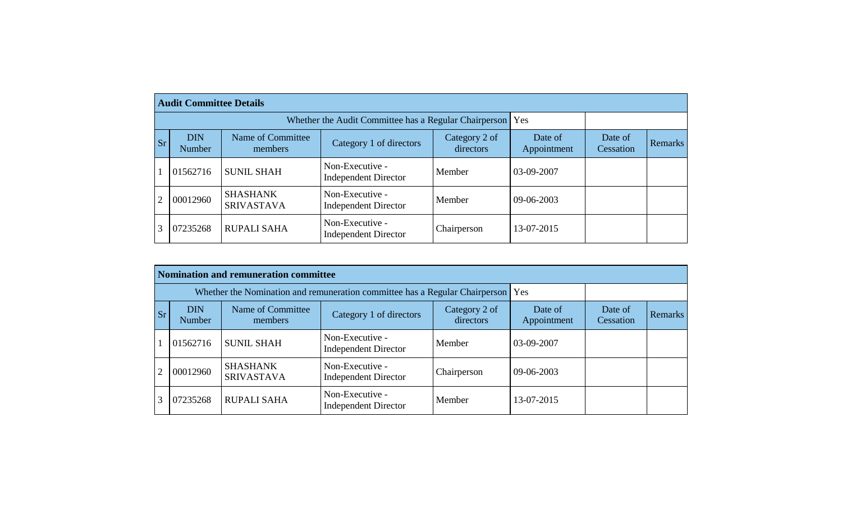| <b>Audit Committee Details</b> |                      |                                      |                                                |                            |                        |                      |                |  |  |  |  |
|--------------------------------|----------------------|--------------------------------------|------------------------------------------------|----------------------------|------------------------|----------------------|----------------|--|--|--|--|
|                                |                      |                                      |                                                |                            |                        |                      |                |  |  |  |  |
| <b>Sr</b>                      | <b>DIN</b><br>Number | Name of Committee<br>members         | Category 1 of directors                        | Category 2 of<br>directors | Date of<br>Appointment | Date of<br>Cessation | <b>Remarks</b> |  |  |  |  |
|                                | 01562716             | <b>SUNIL SHAH</b>                    | Non-Executive -<br><b>Independent Director</b> | Member                     | 03-09-2007             |                      |                |  |  |  |  |
|                                | 00012960             | <b>SHASHANK</b><br><b>SRIVASTAVA</b> | Non-Executive -<br><b>Independent Director</b> | Member                     | $09 - 06 - 2003$       |                      |                |  |  |  |  |
|                                | 07235268             | <b>RUPALI SAHA</b>                   | Non-Executive -<br><b>Independent Director</b> | Chairperson                | 13-07-2015             |                      |                |  |  |  |  |

|    | Nomination and remuneration committee |                                                                             |                                                |                            |                        |                      |                |  |  |  |  |  |
|----|---------------------------------------|-----------------------------------------------------------------------------|------------------------------------------------|----------------------------|------------------------|----------------------|----------------|--|--|--|--|--|
|    |                                       | Whether the Nomination and remuneration committee has a Regular Chairperson |                                                | Yes                        |                        |                      |                |  |  |  |  |  |
| Sr | <b>DIN</b><br>Number                  | Name of Committee<br>members                                                | Category 1 of directors                        | Category 2 of<br>directors | Date of<br>Appointment | Date of<br>Cessation | <b>Remarks</b> |  |  |  |  |  |
|    | 01562716                              | <b>SUNIL SHAH</b>                                                           | Non-Executive -<br><b>Independent Director</b> | Member                     | 03-09-2007             |                      |                |  |  |  |  |  |
|    | 00012960                              | <b>SHASHANK</b><br><b>SRIVASTAVA</b>                                        | Non-Executive -<br><b>Independent Director</b> | Chairperson                | 09-06-2003             |                      |                |  |  |  |  |  |
|    | 07235268                              | <b>RUPALI SAHA</b>                                                          | Non-Executive -<br><b>Independent Director</b> | Member                     | 13-07-2015             |                      |                |  |  |  |  |  |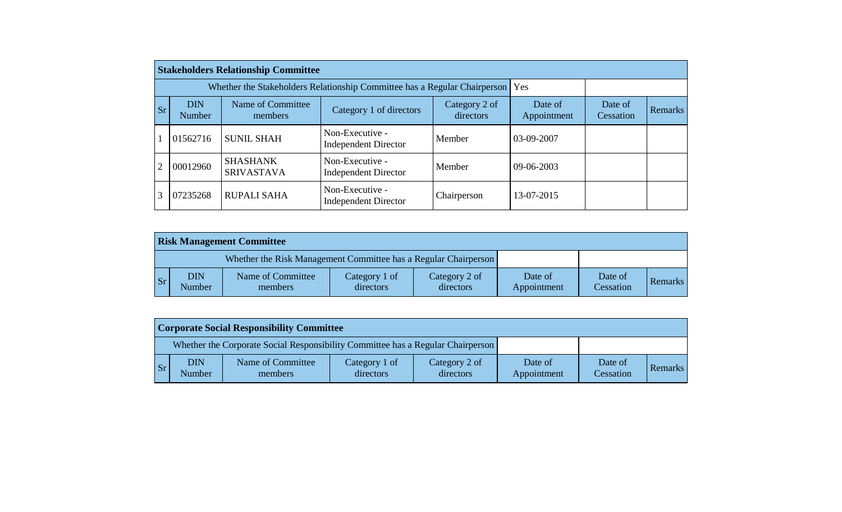|    |                      | <b>Stakeholders Relationship Committee</b>                                |                                                |                            |                        |                      |         |
|----|----------------------|---------------------------------------------------------------------------|------------------------------------------------|----------------------------|------------------------|----------------------|---------|
|    |                      | Whether the Stakeholders Relationship Committee has a Regular Chairperson |                                                | Yes                        |                        |                      |         |
| Sr | <b>DIN</b><br>Number | Name of Committee<br>members                                              | Category 1 of directors                        | Category 2 of<br>directors | Date of<br>Appointment | Date of<br>Cessation | Remarks |
|    | 01562716             | <b>SUNIL SHAH</b>                                                         | Non-Executive -<br><b>Independent Director</b> | Member                     | 03-09-2007             |                      |         |
| 2  | 00012960             | <b>SHASHANK</b><br><b>SRIVASTAVA</b>                                      | Non-Executive -<br><b>Independent Director</b> | Member                     | 09-06-2003             |                      |         |
| 3  | 07235268             | <b>RUPALI SAHA</b>                                                        | Non-Executive -<br><b>Independent Director</b> | Chairperson                | 13-07-2015             |                      |         |

| <b>Risk Management Committee</b> |                       |                                                                 |                            |                            |                        |                      |                |  |  |  |
|----------------------------------|-----------------------|-----------------------------------------------------------------|----------------------------|----------------------------|------------------------|----------------------|----------------|--|--|--|
|                                  |                       | Whether the Risk Management Committee has a Regular Chairperson |                            |                            |                        |                      |                |  |  |  |
| l Sr                             | ${\rm DIN}$<br>Number | Name of Committee<br>members                                    | Category 1 of<br>directors | Category 2 of<br>directors | Date of<br>Appointment | Date of<br>Cessation | <b>Remarks</b> |  |  |  |

| <b>Corporate Social Responsibility Committee</b> |                      |                                                                                 |                            |                            |                        |                      |                |  |  |  |
|--------------------------------------------------|----------------------|---------------------------------------------------------------------------------|----------------------------|----------------------------|------------------------|----------------------|----------------|--|--|--|
|                                                  |                      | Whether the Corporate Social Responsibility Committee has a Regular Chairperson |                            |                            |                        |                      |                |  |  |  |
| <b>Sr</b>                                        | <b>DIN</b><br>Number | Name of Committee<br>members                                                    | Category 1 of<br>directors | Category 2 of<br>directors | Date of<br>Appointment | Date of<br>Cessation | <b>Remarks</b> |  |  |  |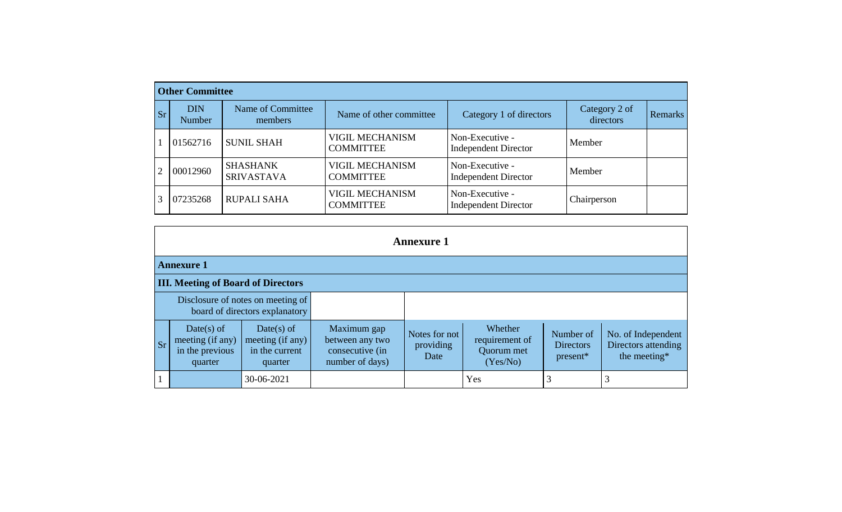|    | <b>Other Committee</b> |                                      |                                            |                                                |                            |                |  |  |  |  |  |  |
|----|------------------------|--------------------------------------|--------------------------------------------|------------------------------------------------|----------------------------|----------------|--|--|--|--|--|--|
| Sr | <b>DIN</b><br>Number   | Name of Committee<br>members         | Name of other committee                    | Category 1 of directors                        | Category 2 of<br>directors | <b>Remarks</b> |  |  |  |  |  |  |
|    | 01562716               | <b>SUNIL SHAH</b>                    | <b>VIGIL MECHANISM</b><br><b>COMMITTEE</b> | Non-Executive -<br><b>Independent Director</b> | Member                     |                |  |  |  |  |  |  |
| 2  | 00012960               | <b>SHASHANK</b><br><b>SRIVASTAVA</b> | <b>VIGIL MECHANISM</b><br><b>COMMITTEE</b> | Non-Executive -<br><b>Independent Director</b> | Member                     |                |  |  |  |  |  |  |
|    | 07235268               | <b>RUPALI SAHA</b>                   | <b>VIGIL MECHANISM</b><br><b>COMMITTEE</b> | Non-Executive -<br><b>Independent Director</b> | Chairperson                |                |  |  |  |  |  |  |

| <b>Annexure 1</b>                                                                                                                          |                                                                     |                                                                      |                                    |                                                     |                                             |                                                           |  |  |  |  |  |
|--------------------------------------------------------------------------------------------------------------------------------------------|---------------------------------------------------------------------|----------------------------------------------------------------------|------------------------------------|-----------------------------------------------------|---------------------------------------------|-----------------------------------------------------------|--|--|--|--|--|
| <b>Annexure 1</b>                                                                                                                          |                                                                     |                                                                      |                                    |                                                     |                                             |                                                           |  |  |  |  |  |
| <b>III. Meeting of Board of Directors</b>                                                                                                  |                                                                     |                                                                      |                                    |                                                     |                                             |                                                           |  |  |  |  |  |
|                                                                                                                                            | Disclosure of notes on meeting of<br>board of directors explanatory |                                                                      |                                    |                                                     |                                             |                                                           |  |  |  |  |  |
| Date(s) of<br>$Date(s)$ of<br>meeting (if any)<br>meeting (if any)<br><b>Sr</b><br>in the previous<br>in the current<br>quarter<br>quarter |                                                                     | Maximum gap<br>between any two<br>consecutive (in<br>number of days) | Notes for not<br>providing<br>Date | Whether<br>requirement of<br>Quorum met<br>(Yes/No) | Number of<br><b>Directors</b><br>$present*$ | No. of Independent<br>Directors attending<br>the meeting* |  |  |  |  |  |
|                                                                                                                                            | 30-06-2021                                                          |                                                                      |                                    | Yes                                                 |                                             |                                                           |  |  |  |  |  |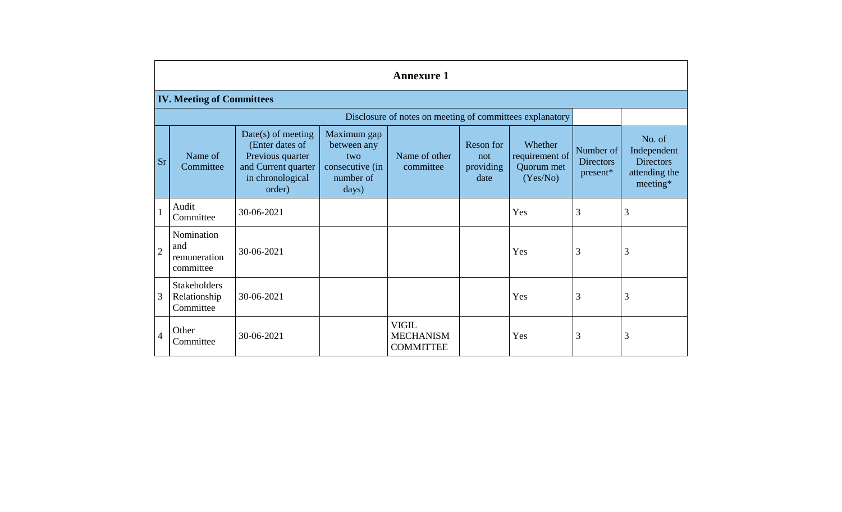|                | <b>Annexure 1</b>                                |                                                                                                                  |                                                                            |                                                      |                                       |                                                     |                                           |                                                                        |  |  |  |  |  |
|----------------|--------------------------------------------------|------------------------------------------------------------------------------------------------------------------|----------------------------------------------------------------------------|------------------------------------------------------|---------------------------------------|-----------------------------------------------------|-------------------------------------------|------------------------------------------------------------------------|--|--|--|--|--|
|                | <b>IV. Meeting of Committees</b>                 |                                                                                                                  |                                                                            |                                                      |                                       |                                                     |                                           |                                                                        |  |  |  |  |  |
|                |                                                  |                                                                                                                  |                                                                            |                                                      |                                       |                                                     |                                           |                                                                        |  |  |  |  |  |
| <b>Sr</b>      | Name of<br>Committee                             | $Date(s)$ of meeting<br>(Enter dates of<br>Previous quarter<br>and Current quarter<br>in chronological<br>order) | Maximum gap<br>between any<br>two<br>consecutive (in<br>number of<br>days) | Name of other<br>committee                           | Reson for<br>not<br>providing<br>date | Whether<br>requirement of<br>Quorum met<br>(Yes/No) | Number of<br><b>Directors</b><br>present* | No. of<br>Independent<br><b>Directors</b><br>attending the<br>meeting* |  |  |  |  |  |
|                | Audit<br>Committee                               | 30-06-2021                                                                                                       |                                                                            |                                                      |                                       | Yes                                                 | 3                                         | 3                                                                      |  |  |  |  |  |
| $\overline{2}$ | Nomination<br>and<br>remuneration<br>committee   | 30-06-2021                                                                                                       |                                                                            |                                                      |                                       | Yes                                                 | 3                                         | 3                                                                      |  |  |  |  |  |
| 3              | <b>Stakeholders</b><br>Relationship<br>Committee | 30-06-2021                                                                                                       |                                                                            |                                                      |                                       | Yes                                                 | 3                                         | 3                                                                      |  |  |  |  |  |
| $\overline{4}$ | Other<br>Committee                               | 30-06-2021                                                                                                       |                                                                            | <b>VIGIL</b><br><b>MECHANISM</b><br><b>COMMITTEE</b> |                                       | Yes                                                 | 3                                         | 3                                                                      |  |  |  |  |  |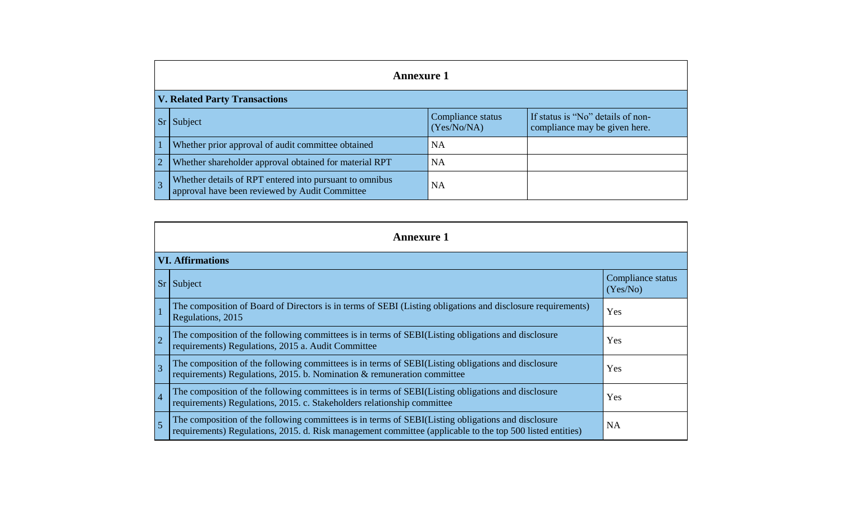| <b>Annexure 1</b>                                                                                         |                                  |                                                                    |  |  |  |  |  |  |  |  |
|-----------------------------------------------------------------------------------------------------------|----------------------------------|--------------------------------------------------------------------|--|--|--|--|--|--|--|--|
| <b>V. Related Party Transactions</b>                                                                      |                                  |                                                                    |  |  |  |  |  |  |  |  |
| Sr<br>Subject                                                                                             | Compliance status<br>(Yes/No/NA) | If status is "No" details of non-<br>compliance may be given here. |  |  |  |  |  |  |  |  |
| Whether prior approval of audit committee obtained                                                        | <b>NA</b>                        |                                                                    |  |  |  |  |  |  |  |  |
| $\overline{2}$<br>Whether shareholder approval obtained for material RPT                                  | <b>NA</b>                        |                                                                    |  |  |  |  |  |  |  |  |
| Whether details of RPT entered into pursuant to omnibus<br>approval have been reviewed by Audit Committee | NA                               |                                                                    |  |  |  |  |  |  |  |  |

| <b>Annexure 1</b>       |                                                                                                                                                                                                                 |                               |  |  |  |
|-------------------------|-----------------------------------------------------------------------------------------------------------------------------------------------------------------------------------------------------------------|-------------------------------|--|--|--|
| <b>VI. Affirmations</b> |                                                                                                                                                                                                                 |                               |  |  |  |
| $S_r$                   | Subject                                                                                                                                                                                                         | Compliance status<br>(Yes/No) |  |  |  |
|                         | The composition of Board of Directors is in terms of SEBI (Listing obligations and disclosure requirements)<br>Regulations, 2015                                                                                | Yes                           |  |  |  |
| $\overline{2}$          | The composition of the following committees is in terms of SEBI(Listing obligations and disclosure<br>requirements) Regulations, 2015 a. Audit Committee                                                        | Yes                           |  |  |  |
| $\overline{3}$          | The composition of the following committees is in terms of SEBI(Listing obligations and disclosure<br>requirements) Regulations, 2015. b. Nomination & remuneration committee                                   | Yes                           |  |  |  |
| $\vert 4$               | The composition of the following committees is in terms of SEBI(Listing obligations and disclosure<br>requirements) Regulations, 2015. c. Stakeholders relationship committee                                   | Yes                           |  |  |  |
| $\overline{5}$          | The composition of the following committees is in terms of SEBI(Listing obligations and disclosure<br>requirements) Regulations, 2015. d. Risk management committee (applicable to the top 500 listed entities) | <b>NA</b>                     |  |  |  |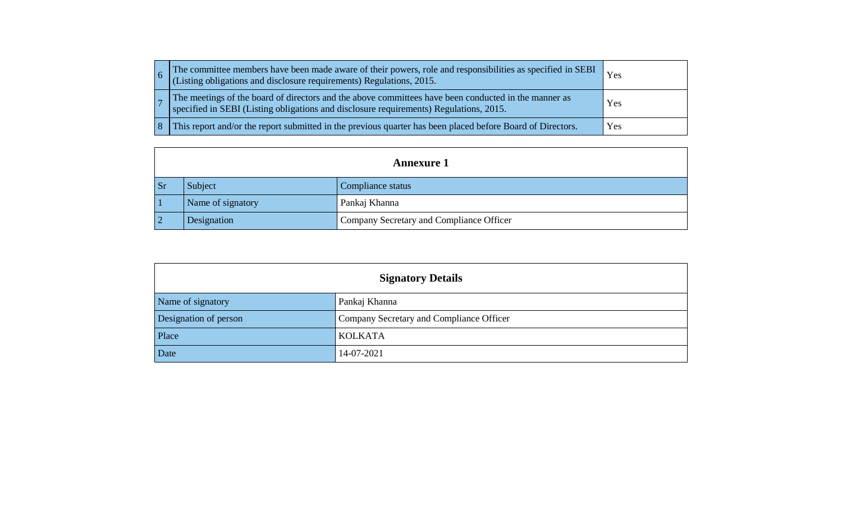|  | The committee members have been made aware of their powers, role and responsibilities as specified in SEBI<br>(Listing obligations and disclosure requirements) Regulations, 2015.             |     |
|--|------------------------------------------------------------------------------------------------------------------------------------------------------------------------------------------------|-----|
|  | The meetings of the board of directors and the above committees have been conducted in the manner as<br>specified in SEBI (Listing obligations and disclosure requirements) Regulations, 2015. | Yes |
|  | This report and/or the report submitted in the previous quarter has been placed before Board of Directors.                                                                                     | Yes |

|                        | <b>Annexure 1</b> |                                          |  |  |  |
|------------------------|-------------------|------------------------------------------|--|--|--|
| $\mathbf{S}\mathbf{r}$ | Subject           | Compliance status                        |  |  |  |
|                        | Name of signatory | Pankaj Khanna                            |  |  |  |
|                        | Designation       | Company Secretary and Compliance Officer |  |  |  |

| <b>Signatory Details</b> |                                          |  |
|--------------------------|------------------------------------------|--|
| Name of signatory        | Pankaj Khanna                            |  |
| Designation of person    | Company Secretary and Compliance Officer |  |
| Place                    | <b>KOLKATA</b>                           |  |
| Date                     | 14-07-2021                               |  |